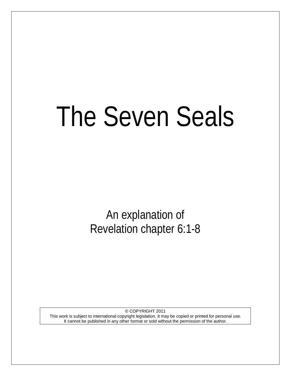# The Seven Seals

An explanation of Revelation chapter 6:1-8

© COPYRIGHT 2011 This work is subject to international copyright legislation. It may be copied or printed for personal use. It cannot be published in any other format or sold without the permission of the author.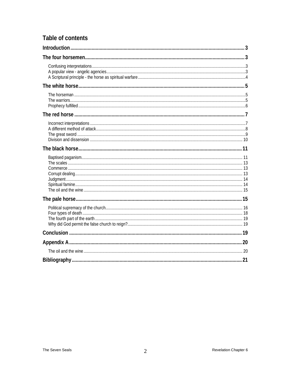# Table of contents

<span id="page-1-0"></span>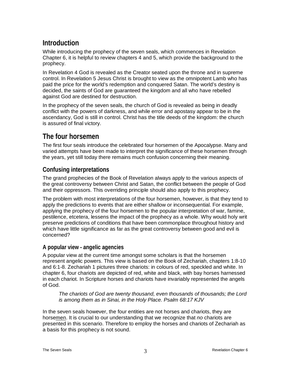# **Introduction**

While introducing the prophecy of the seven seals, which commences in Revelation Chapter 6, it is helpful to review chapters 4 and 5, which provide the background to the prophecy.

In Revelation 4 God is revealed as the Creator seated upon the throne and in supreme control. In Revelation 5 Jesus Christ is brought to view as the omnipotent Lamb who has paid the price for the world's redemption and conquered Satan. The world's destiny is decided, the saints of God are guaranteed the kingdom and all who have rebelled against God are destined for destruction.

In the prophecy of the seven seals, the church of God is revealed as being in deadly conflict with the powers of darkness, and while error and apostasy appear to be in the ascendancy, God is still in control. Christ has the title deeds of the kingdom: the church is assured of final victory.

# <span id="page-2-0"></span>**The four horsemen**

The first four seals introduce the celebrated four horsemen of the Apocalypse. Many and varied attempts have been made to interpret the significance of these horsemen through the years, yet still today there remains much confusion concerning their meaning.

## <span id="page-2-1"></span>**Confusing interpretations**

The grand prophecies of the Book of Revelation always apply to the various aspects of the great controversy between Christ and Satan, the conflict between the people of God and their oppressors. This overriding principle should also apply to this prophecy.

The problem with most interpretations of the four horsemen, however, is that they tend to apply the predictions to events that are either shallow or inconsequential. For example, applying the prophecy of the four horsemen to the popular interpretation of war, famine, pestilence, etcetera, lessens the impact of the prophecy as a whole. Why would holy writ preserve predictions of conditions that have been commonplace throughout history and which have little significance as far as the great controversy between good and evil is concerned?

## <span id="page-2-2"></span>**A popular view - angelic agencies**

A popular view at the current time amongst some scholars is that the horsemen represent angelic powers. This view is based on the Book of Zechariah, chapters 1:8-10 and 6:1-8. Zechariah 1 pictures three chariots: in colours of red, speckled and white. In chapter 6, four chariots are depicted of red, white and black, with bay horses harnessed in each chariot. In Scripture horses and chariots have invariably represented the angels of God.

*The chariots of God are twenty thousand, even thousands of thousands; the Lord is among them as in Sinai, in the Holy Place. Psalm 68:17 KJV*

In the seven seals however, the four entities are not horses and chariots, they are horsemen. It is crucial to our understanding that we recognize that *no* chariots are presented in this scenario. Therefore to employ the horses and chariots of Zechariah as a basis for this prophecy is not sound.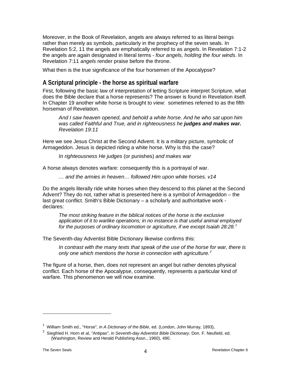Moreover, in the Book of Revelation, angels are always referred to as literal beings rather than merely as symbols, particularly in the prophecy of the seven seals. In Revelation 5:2, 11 the angels are emphatically referred to as *angels*. In Revelation 7:1-2 the angels are again designated in literal terms - *four angels, holding the four winds*. In Revelation 7:11 *angels* render praise before the throne.

What then is the true significance of the four horsemen of the Apocalypse?

## <span id="page-3-0"></span>**A Scriptural principle - the horse as spiritual warfare**

First, following the basic law of interpretation of letting Scripture interpret Scripture, what does the Bible declare that a horse represents? The answer is found in Revelation itself. In Chapter 19 another white horse is brought to view: sometimes referred to as the fifth horseman of Revelation.

*And I saw heaven opened, and behold a white horse. And he who sat upon him*  was called Faithful and True, and in righteousness he **judges and makes war.** *Revelation 19:11*

Here we see Jesus Christ at the Second Advent. It is a military picture, symbolic of Armageddon. Jesus is depicted riding a white horse. Why is this the case?

*In righteousness He judges* (or punishes) *and makes war*

A horse always denotes warfare: consequently this is a portrayal of war.

*… and the armies in heaven… followed Him upon white horses. v14*

Do the angels literally ride white horses when they descend to this planet at the Second Advent? They do not, rather what is presented here is a symbol of Armageddon – the last great conflict. Smith's Bible Dictionary – a scholarly and authoritative work declares:

*The most striking feature in the biblical notices of the horse is the exclusive application of it to warlike operations; in no instance is that useful animal employed for the purposes of ordinary locomotion or agriculture, if we except Isaiah 28:28. [1](#page-3-1)*

The Seventh-day Adventist Bible Dictionary likewise confirms this:

*In contrast with the many texts that speak of the use of the horse for war, there is only one which mentions the horse in connection with agriculture. [2](#page-3-2)*

The figure of a horse, then, does not represent an angel but rather denotes physical conflict. Each horse of the Apocalypse, consequently, represents a particular kind of warfare. This phenomenon we will now examine.

<span id="page-3-1"></span><sup>&</sup>lt;sup>1</sup> William Smith ed., "Horse", in *A Dictionary of the Bible*, ed. (London, John Murray, 1893),

<span id="page-3-2"></span><sup>2</sup> Siegfried H. Horn et al, "Antipas", in *Seventh-day Adventist Bible Dictionary*, Don. F. Neufield, ed. (Washington, Review and Herald Publishing Assn., 1960), 490.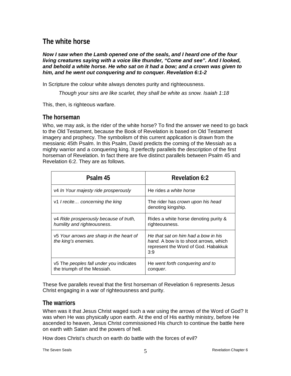# <span id="page-4-0"></span>**The white horse**

*Now I saw when the Lamb opened one of the seals, and I heard one of the four living creatures saying with a voice like thunder, "Come and see". And I looked, and behold a white horse. He who sat on it had a bow; and a crown was given to him, and he went out conquering and to conquer. Revelation 6:1-2*

In Scripture the colour white always denotes purity and righteousness.

*Though your sins are like scarlet, they shall be white as snow. Isaiah 1:18*

This, then, is righteous warfare.

#### <span id="page-4-1"></span>**The horseman**

Who, we may ask, is the rider of the white horse? To find the answer we need to go back to the Old Testament, because the Book of Revelation is based on Old Testament imagery and prophecy. The symbolism of this current application is drawn from the messianic 45th Psalm. In this Psalm, David predicts the coming of the Messiah as a mighty warrior and a conquering king. It perfectly parallels the description of the first horseman of Revelation. In fact there are five distinct parallels between Psalm 45 and Revelation 6:2. They are as follows.

| Psalm 45                                                               | Revelation 6:2                                                                                                                    |
|------------------------------------------------------------------------|-----------------------------------------------------------------------------------------------------------------------------------|
| v4 In Your majesty ride prosperously                                   | He rides a white horse                                                                                                            |
| v1 I recite concerning the king                                        | The rider has crown upon his head<br>denoting kingship.                                                                           |
| v4 Ride prosperously because of truth,<br>humility and righteousness.  | Rides a white horse denoting purity &<br>righteousness.                                                                           |
| v5 Your arrows are sharp in the heart of<br>the king's enemies.        | He that sat on him had a bow in his<br><i>hand.</i> A bow is to shoot arrows, which<br>represent the Word of God. Habakkuk<br>3:9 |
| v5 The peoples fall under you indicates<br>the triumph of the Messiah. | He went forth conquering and to<br>conquer.                                                                                       |

These five parallels reveal that the first horseman of Revelation 6 represents Jesus Christ engaging in a war of righteousness and purity.

## <span id="page-4-2"></span>**The warriors**

When was it that Jesus Christ waged such a war using the arrows of the Word of God? It was when He was physically upon earth. At the end of His earthly ministry, before He ascended to heaven, Jesus Christ commissioned His church to continue the battle here on earth with Satan and the powers of hell.

How does Christ's church on earth do battle with the forces of evil?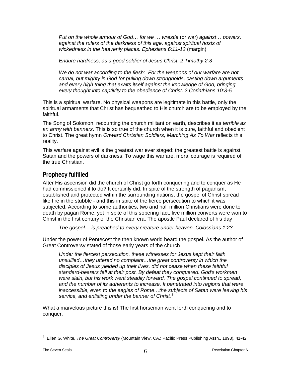*Put on the whole armour of God… for we … wrestle* (or war) *against… powers, against the rulers of the darkness of this age, against spiritual hosts of wickedness in the heavenly places. Ephesians 6:11-12* (margin)

*Endure hardness, as a good soldier of Jesus Christ. 2 Timothy 2:3*

*We do not war according to the flesh: For the weapons of our warfare are not carnal, but mighty in God for pulling down strongholds, casting down arguments*  and every high thing that exalts itself against the knowledge of God, bringing *every thought into captivity to the obedience of Christ. 2 Corinthians 10:3-5*

This is a spiritual warfare. No physical weapons are legitimate in this battle, only the spiritual armaments that Christ has bequeathed to His church are to be employed by the faithful.

The Song of Solomon, recounting the church militant on earth, describes it as *terrible as an army with banners*. This is so true of the church when it is pure, faithful and obedient to Christ. The great hymn *Onward Christian Soldiers, Marching As To War* reflects this reality.

This warfare against evil is the greatest war ever staged: the greatest battle is against Satan and the powers of darkness. To wage this warfare, moral courage is required of the true Christian.

## <span id="page-5-0"></span>**Prophecy fulfilled**

After His ascension did the church of Christ go forth conquering and to conquer as He had commissioned it to do? It certainly did. In spite of the strength of paganism, established and protected within the surrounding nations, the gospel of Christ spread like fire in the stubble - and this in spite of the fierce persecution to which it was subjected. According to some authorities, two and half million Christians were done to death by pagan Rome, yet in spite of this sobering fact, five million converts were won to Christ in the first century of the Christian era. The apostle Paul declared of his day

*The gospel… is preached to every creature under heaven. Colossians 1:23*

Under the power of Pentecost the then known world heard the gospel. As the author of Great Controversy stated of those early years of the church

*Under the fiercest persecution, these witnesses for Jesus kept their faith unsullied…they uttered no complaint…the great controversy in which the disciples of Jesus yielded up their lives, did not cease when these faithful standard-bearers fell at their post. By defeat they conquered. God's workmen*  were slain, but his work went steadily forward. The gospel continued to spread, *and the number of its adherents to increase. It penetrated into regions that were inaccessible, even to the eagles of Rome…the subjects of Satan were leaving his service, and enlisting under the banner of Christ.[3](#page-5-1)* 

What a marvelous picture this is! The first horseman went forth conquering and to conquer.

<span id="page-5-1"></span><sup>3</sup> Ellen G. White, *The Great Controversy* (Mountain View, CA.: Pacific Press Publishing Assn., 1898), 41-42.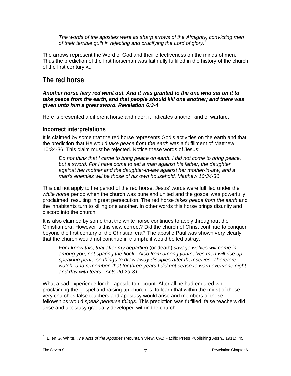*The words of the apostles were as sharp arrows of the Almighty, convicting men of their terrible guilt in rejecting and crucifying the Lord of glory.[4](#page-6-2)*

The arrows represent the Word of God and their effectiveness on the minds of men. Thus the prediction of the first horseman was faithfully fulfilled in the history of the church of the first century AD.

# <span id="page-6-0"></span>**The red horse**

#### *Another horse fiery red went out. And it was granted to the one who sat on it to take peace from the earth, and that people should kill one another; and there was given unto him a great sword. Revelation 6:3-4*

Here is presented a different horse and rider: it indicates another kind of warfare.

## <span id="page-6-1"></span>**Incorrect interpretations**

It is claimed by some that the red horse represents God's activities on the earth and that the prediction that He would *take peace from the earth* was a fulfillment of Matthew 10:34-36. This claim must be rejected. Notice these words of Jesus:

*Do not think that I came to bring peace on earth. I did not come to bring peace, but a sword. For I have come to set a man against his father, the daughter against her mother and the daughter-in-law against her mother-in-law, and a man's enemies will be those of his own household. Matthew 10:34-36*

This did not apply to the period of the red horse. Jesus' words were fulfilled under the *white horse* period when the church was pure and united and the gospel was powerfully proclaimed, resulting in great persecution. The red horse *takes peace from the earth* and the inhabitants turn to killing one another. In other words this horse brings disunity and discord into the church.

It is also claimed by some that the white horse continues to apply throughout the Christian era. However is this view correct? Did the church of Christ continue to conquer beyond the first century of the Christian era? The apostle Paul was shown very clearly that the church would not continue in triumph: it would be led astray.

*For I know this, that after my departing* (or death) *savage wolves will come in among you, not sparing the flock. Also from among yourselves men will rise up speaking perverse things to draw away disciples after themselves. Therefore watch, and remember, that for three years I did not cease to warn everyone night and day with tears. Acts 20:29-31*

What a sad experience for the apostle to recount. After all he had endured while proclaiming the gospel and raising up churches, to learn that within the midst of these very churches false teachers and apostasy would arise and members of those fellowships would *speak perverse things*. This prediction was fulfilled: false teachers did arise and apostasy gradually developed within the church.

<span id="page-6-2"></span><sup>4</sup> Ellen G. White, *The Acts of the Apostles* (Mountain View, CA.: Pacific Press Publishing Assn., 1911), 45.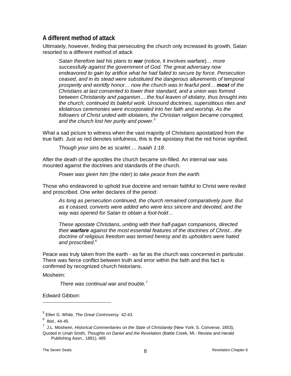## <span id="page-7-0"></span>**A different method of attack**

Ultimately, however, finding that persecuting the church only increased its growth, Satan resorted to a different method of attack

*Satan therefore laid his plans to war* (notice, it involves warfare)*… more successfully against the government of God. The great adversary now endeavored to gain by artifice what he had failed to secure by force. Persecution ceased, and in its stead were substituted the dangerous allurements of temporal prosperity and worldly honor… now the church was in fearful peril… most of the Christians at last consented to lower their standard, and a union was formed between Christianity and paganism*.…*the foul leaven of idolatry, thus brought into the church, continued its baleful work. Unsound doctrines, superstitious rites and idolatrous ceremonies were incorporated into her faith and worship. As the*  followers of Christ united with idolaters, the Christian religion became corrupted, *and the church lost her purity and power.[5](#page-7-1)*

What a sad picture to witness when the vast majority of Christians apostatized from the true faith. Just as red denotes sinfulness, this is the apostasy that the red horse signified.

*Though your sins be as scarlet…. Isaiah 1:18.* 

After the death of the apostles the church became sin-filled. An internal war was mounted against the doctrines and standards of the church.

*Power was given him* (the rider) *to take peace from the earth.* 

Those who endeavored to uphold true doctrine and remain faithful to Christ were reviled and proscribed. One writer declares of the period:

*As long as persecution continued, the church remained comparatively pure. But as it ceased, converts were added who were less sincere and devoted, and the way was opened for Satan to obtain a foot-hold…*

*These apostate Christians, uniting with their half-pagan companions, directed their warfare against the most essential features of the doctrines of Christ…the doctrine of religious freedom was termed heresy and its upholders were hated and proscribed.*[6](#page-7-2)

Peace was truly taken from the earth - as far as the church was concerned in particular. There was fierce conflict between truth and error within the faith and this fact is confirmed by recognized church historians.

Mosheim:

 $\overline{a}$ 

*There was continual war and trouble.[7](#page-7-3)*

Edward Gibbon:

<span id="page-7-1"></span><sup>5</sup> Ellen G. White, *The Great Controversy* 42-43.

<span id="page-7-2"></span> $6$  Ibid., 44-45.

<span id="page-7-3"></span><sup>&</sup>lt;sup>7</sup> J.L. Mosheim, *Historical Commentaries on the State of Christianity* (New York: S. Converse, 1853),

Quoted in Uriah Smith, *Thoughts on Daniel and the Revelation* (Battle Creek, MI.: Review and Herald Publishing Assn., 1881), 485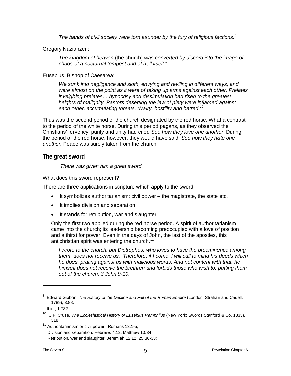*The bands of civil society were torn asunder by the fury of religious factions.[8](#page-8-1)*

Gregory Nazianzen:

*The kingdom of heaven* (the church) *was converted by discord into the image of chaos of a nocturnal tempest and of hell itself.[9](#page-8-2)*

#### Eusebius, Bishop of Caesarea:

*We sunk into negligence and sloth, envying and reviling in different ways, and were almost on the point as it were of taking up arms against each other. Prelates inveighing prelates… hypocrisy and dissimulation had risen to the greatest heights of malignity. Pastors deserting the law of piety were inflamed against each other, accumulating threats, rivalry, hostility and hatred. [10](#page-8-3)*

Thus was the second period of the church designated by the red horse. What a contrast to the period of the white horse. During this period pagans, as they observed the Christians' fervency, purity and unity had cried *See how they love one another*. During the period of the red horse, however, they would have said, *See how they hate one another.* Peace was surely taken from the church.

#### <span id="page-8-0"></span>**The great sword**

*There was given him a great sword*

What does this sword represent?

There are three applications in scripture which apply to the sword.

- It symbolizes authoritarianism: civil power the magistrate, the state etc.
- It implies division and separation.
- It stands for retribution, war and slaughter.

Only the first two applied during the red horse period. A spirit of authoritarianism came into the church; its leadership becoming preoccupied with a love of position and a thirst for power. Even in the days of John, the last of the apostles, this antichristian spirit was entering the church.<sup>[11](#page-8-4)</sup>

*I wrote to the church, but Diotrephes, who loves to have the preeminence among them, does not receive us. Therefore, if I come, I will call to mind his deeds which he does, prating against us with malicious words. And not content with that, he himself does not receive the brethren and forbids those who wish to, putting them out of the church. 3 John 9-10.*

<span id="page-8-1"></span><sup>&</sup>lt;sup>8</sup> Edward Gibbon, *The History of the Decline and Fall of the Roman Empire* (London: Strahan and Cadell, 1789), 3:88.

<sup>&</sup>lt;sup>9</sup> Ibid., 1:732.

<span id="page-8-3"></span><span id="page-8-2"></span><sup>10</sup> C.F. Cruse, *The Ecclesiastical History of Eusebius Pamphilus* (New York: Swords Stanford & Co, 1833), 318.

<span id="page-8-4"></span><sup>11</sup> Authoritarianism or civil power: Romans 13:1-5;

Division and separation: Hebrews 4:12; Matthew 10:34;

Retribution, war and slaughter: Jeremiah 12:12; 25:30-33;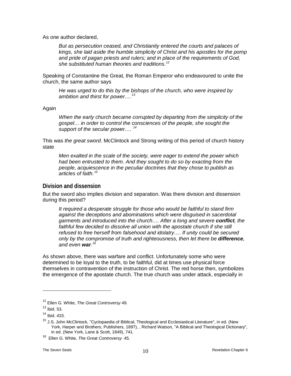As one author declared,

*But as persecution ceased, and Christianity entered the courts and palaces of kings, she laid aside the humble simplicity of Christ and his apostles for the pomp and pride of pagan priests and rulers; and in place of the requirements of God, she substituted human theories and traditions.[12](#page-9-1)*

Speaking of Constantine the Great, the Roman Emperor who endeavoured to unite the church, the same author says

*He was urged to do this by the bishops of the church, who were inspired by ambition and thirst for power….[13](#page-9-2)*

Again

*When the early church became corrupted by departing from the simplicity of the gospel… in order to control the consciences of the people, she sought the support of the secular power…. [14](#page-9-3)*

This was *the great sword*. McClintock and Strong writing of this period of church history state

*Men exalted in the scale of the society, were eager to extend the power which had been entrusted to them. And they sought to do so by exacting from the people, acquiescence in the peculiar doctrines that they chose to publish as articles of faith.[15](#page-9-4)*

#### <span id="page-9-0"></span>**Division and dissension**

But the sword also implies division and separation. Was there division and dissension during this period?

*It required a desperate struggle for those who would be faithful to stand firm against the deceptions and abominations which were disguised in sacerdotal garments and introduced into the church…. After a long and severe conflict, the*  faithful few decided to dissolve all union with the apostate church if she still *refused to free herself from falsehood and idolatry…. If unity could be secured only by the compromise of truth and righteousness, then let there be difference, and even war. [16](#page-9-5)*

As shown above, there was warfare and conflict. Unfortunately some who were determined to be loyal to the truth, to be faithful, did at times use physical force themselves in contravention of the instruction of Christ. The red horse then, symbolizes the emergence of the apostate church. The true church was under attack, especially in

<sup>12</sup> Ellen G. White, *The Great Controversy* 49.

<span id="page-9-2"></span><span id="page-9-1"></span> $13$  Ibid. 53.

<span id="page-9-3"></span><sup>14</sup> Ibid. 433.

<span id="page-9-4"></span><sup>&</sup>lt;sup>15</sup> J.S. John McClintock, "Cyclopaedia of Biblical, Theological and Ecclesiastical Literature", in ed. (New York, Harper and Brothers, Publishers, 1897), , Richard Watson, "A Biblical and Theological Dictionary", in ed. (New York, Lane & Scott, 1849), 741.

<span id="page-9-5"></span><sup>16</sup> Ellen G. White, *The Great Controversy* 45.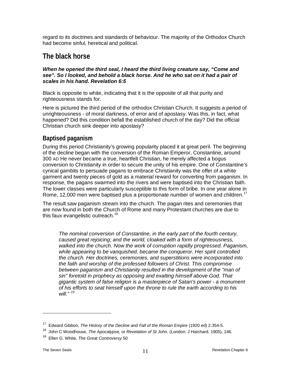regard to its doctrines and standards of behaviour. The majority of the Orthodox Church had become sinful, heretical and political.

# <span id="page-10-0"></span>**The black horse**

#### *When he opened the third seal, I heard the third living creature say, "Come and see". So I looked, and behold a black horse. And he who sat on it had a pair of scales in his hand. Revelation 6:5*

Black is opposite to white, indicating that it is the opposite of all that purity and righteousness stands for.

Here is pictured the third period of the orthodox Christian Church. It suggests a period of unrighteousness - of moral darkness, of error and of apostasy. Was this, in fact, what happened? Did this condition befall the established church of the day? Did the official Christian church sink deeper into apostasy?

## <span id="page-10-1"></span>**Baptised paganism**

During this period Christianity's growing popularity placed it at great peril. The beginning of the decline began with the conversion of the Roman Emperor, Constantine, around 300 AD He never became a true, heartfelt Christian, he merely affected a bogus conversion to Christianity in order to secure the unity of his empire. One of Constantine's cynical gambits to persuade pagans to embrace Christianity was the offer of a white garment and twenty pieces of gold as a material reward for converting from paganism. In response, the pagans swarmed into the rivers and were baptised into the Christian faith. The lower classes were particularly susceptible to this form of bribe. In one year alone in Rome, 12,000 men were baptised plus a proportionate number of women and children.<sup>[17](#page-10-2)</sup>

The result saw paganism stream into the church. The pagan rites and ceremonies that are now found in both the Church of Rome and many Protestant churches are due to this faux evangelistic outreach.<sup>[18](#page-10-3)</sup>

*The nominal conversion of Constantine, in the early part of the fourth century, caused great rejoicing; and the world, cloaked with a form of righteousness, walked into the church. Now the work of corruption rapidly progressed. Paganism, while appearing to be vanquished, became the conqueror. Her spirit controlled the church. Her doctrines, ceremonies, and superstitions were incorporated into the faith and worship of the professed followers of Christ. This compromise*  between paganism and Christianity resulted in the development of the "man of *sin" foretold in prophecy as opposing and exalting himself above God. That gigantic system of false religion is a masterpiece of Satan's power - a monument of his efforts to seat himself upon the throne to rule the earth according to his will." [19](#page-10-4)*

<sup>&</sup>lt;sup>17</sup> Edward Gibbon, *The History of the Decline and Fall of the Roman Empire* (1920 ed) 2:354-5.

<span id="page-10-3"></span><span id="page-10-2"></span><sup>&</sup>lt;sup>18</sup> John C Woodhouse, *The Apocalypse, or Revelation of St John.* (London: J Hatchard, 1905), 146.

<span id="page-10-4"></span><sup>19</sup> Ellen G. White, *The Great Controversy* 50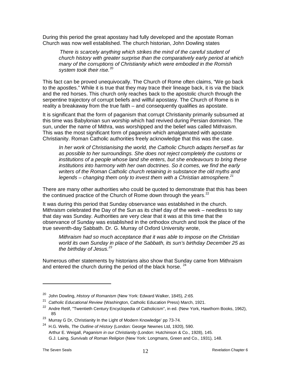During this period the great apostasy had fully developed and the apostate Roman Church was now well established. The church historian, John Dowling states

*There is scarcely anything which strikes the mind of the careful student of church history with greater surprise than the comparatively early period at which many of the corruptions of Christianity which were embodied in the Romish system took their rise.*[20](#page-11-0)

This fact can be proved unequivocally. The Church of Rome often claims, "We go back to the apostles." While it is true that they may trace their lineage back, it is via the black and the red horses. This church only reaches back to the apostolic church through the serpentine trajectory of corrupt beliefs and willful apostasy. The Church of Rome is in reality a breakaway from the true faith – and consequently qualifies as apostate.

It is significant that the form of paganism that corrupt Christianity primarily subsumed at this time was Babylonian sun worship which had revived during Persian dominion. The sun, under the name of Mithra, was worshipped and the belief was called Mithraism. This was the most significant form of paganism which amalgamated with apostate Christianity. Roman Catholic authorities freely acknowledge that this was the case.

*In her work of Christianising the world, the Catholic Church adapts herself as far as possible to her surroundings. She does not reject completely the customs or institutions of a people whose land she enters, but she endeavours to bring these institutions into harmony with her own doctrines. So it comes, we find the early writers of the Roman Catholic church retaining in substance the old myths and legends – changing them only to invest them with a Christian atmosphere. [21](#page-11-1)*

There are many other authorities who could be quoted to demonstrate that this has been the continued practice of the Church of Rome down through the years.<sup>[22](#page-11-2)</sup>

It was during this period that Sunday observance was established in the church. Mithraism celebrated the Day of the Sun as its chief day of the week – needless to say that day was Sunday. Authorities are very clear that it was at this time that the observance of Sunday was established in the orthodox church and took the place of the true seventh-day Sabbath. Dr. G. Murray of Oxford University wrote,

*Mithraism had so much acceptance that it was able to impose on the Christian world its own Sunday in place of the Sabbath, its sun's birthday December 25 as the birthday of Jesus.[23](#page-11-3)*

Numerous other statements by historians also show that Sunday came from Mithraism and entered the church during the period of the black horse.  $24$ 

<sup>20</sup> John Dowling, *History of Romanism* (New York: Edward Walker, 1845), *2:65.*

<span id="page-11-1"></span><span id="page-11-0"></span><sup>21</sup> *Catholic Educational Review* (Washington, Catholic Education Press) March, 1921.

<span id="page-11-2"></span><sup>&</sup>lt;sup>22</sup> Andre Retif, "Twentieth Century Encyclopedia of Catholicism", in ed. (New York, Hawthorn Books, 1962), 85

<span id="page-11-3"></span><sup>&</sup>lt;sup>23</sup> Murray G Dr, Christianity In the Light of Modern Knowledge' pp 73-74.

<span id="page-11-4"></span><sup>24</sup> H.G. Wells, *The Outline of History* (London: George Newnes Ltd, 1920), 590. Arthur E. Weigall, *Paganism in our Christianity* (London: Hutchinson & Co., 1928), 145. G.J. Laing, *Survivals of Roman Religion* (New York: Longmans, Green and Co., 1931), 148.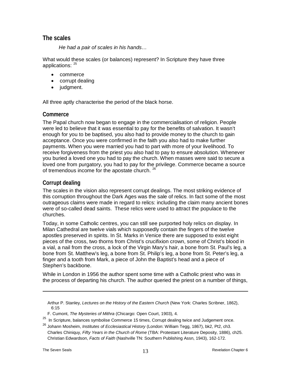#### <span id="page-12-0"></span>**The scales**

*He had a pair of scales in his hands…*

What would these scales (or balances) represent? In Scripture they have three applications: <sup>[25](#page-12-3)</sup>

- commerce
- corrupt dealing
- judgment.

All three aptly characterise the period of the black horse.

#### <span id="page-12-1"></span>**Commerce**

The Papal church now began to engage in the commercialisation of religion. People were led to believe that it was essential to pay for the benefits of salvation. It wasn't enough for you to be baptised, you also had to provide money to the church to gain acceptance. Once you were confirmed in the faith you also had to make further payments. When you were married you had to part with more of your livelihood. To receive forgiveness from the priest you also had to pay to ensure absolution. Whenever you buried a loved one you had to pay the church. When masses were said to secure a loved one from purgatory, you had to pay for the privilege. Commerce became a source of tremendous income for the apostate church. <sup>[26](#page-12-4)</sup>

#### <span id="page-12-2"></span>**Corrupt dealing**

The scales in the vision also represent corrupt dealings. The most striking evidence of this corruption throughout the Dark Ages was the sale of relics. In fact some of the most outrageous claims were made in regard to relics: including the claim many ancient bones were of so-called dead saints. These relics were used to attract the populace to the churches.

Today, in some Catholic centres, you can still see purported holy relics on display. In Milan Cathedral are twelve vials which supposedly contain the fingers of the twelve apostles preserved in spirits. In St. Marks in Venice there are supposed to exist eight pieces of the cross, two thorns from Christ's crucifixion crown, some of Christ's blood in a vial, a nail from the cross, a lock of the Virgin Mary's hair, a bone from St. Paul's leg, a bone from St. Matthew's leg, a bone from St. Philip's leg, a bone from St. Peter's leg, a finger and a tooth from Mark, a piece of John the Baptist's head and a piece of Stephen's backbone.

While in London in 1956 the author spent some time with a Catholic priest who was in the process of departing his church. The author queried the priest on a number of things,

Arthur P. Stanley, *Lectures on the History of the Eastern Church* (New York: Charles Scribner, 1862), 6:15

F. Cumont, *The Mysteries of Mithra* (Chicargo: Open Court, 1903), 4.

<span id="page-12-3"></span> $25$  In Scripture, balances symbolise Commerce 15 times, Corrupt dealing twice and Judgement once.

<span id="page-12-4"></span><sup>26</sup> Johann Mosheim, *Institutes of Ecclesiastical History* (London: William Tegg, 1867), bk2, Pt2, ch3. Charles Chiniquy, *Fifty Years in the Church of Rome* (TBA: Protestant Literature Deposity, 1886), ch25. Christian Edwardson, *Facts of Faith* (Nashville TN: Southern Publishing Assn, 1943), 162-172.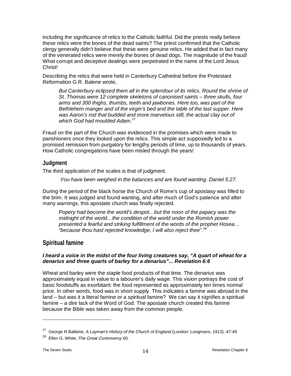including the significance of relics to the Catholic faithful. Did the priests really believe these relics were the bones of the dead saints? The priest confirmed that the Catholic clergy generally didn't believe that these were genuine relics. He added that in fact many of the venerated relics were merely the bones of dead dogs. The magnitude of the fraud! What corrupt and deceptive dealings were perpetrated in the name of the Lord Jesus Christ!

Describing the relics that were held in Canterbury Cathedral before the Protestant Reformation G.R. Balene wrote,

But Canterbury eclipsed them all in the splendour of its relics. Round the shrine of *St. Thomas were 12 complete skeletons of canonised saints – three skulls, four arms and 300 thighs, thumbs, teeth and jawbones. Here too, was part of the Bethlehem manger and of the virgin's bed and the table of the last supper. Here was Aaron's rod that budded and more marvelous still, the actual clay out of which God had moulded Adam.[27](#page-13-2)*

Fraud on the part of the Church was evidenced in the promises which were made to parishioners once they looked upon the relics. This simple act supposedly led to a promised remission from purgatory for lengthy periods of time, up to thousands of years. How Catholic congregations have been misled through the years!

#### <span id="page-13-0"></span>**Judgment**

The third application of the scales is that of judgment.

*You have been weighed in the balances and are found wanting. Daniel 5:27.* 

During the period of the black horse the Church of Rome's cup of apostasy was filled to the brim. It was judged and found wanting, and after much of God's patience and after many warnings, this apostate church was finally rejected.

*Popery had become the world's despot…but the noon of the papacy was the midnight of the world…the condition of the world under the Romish power presented a fearful and striking fulfillment of the words of the prophet Hosea… "because thou hast rejected knowledge, I will also reject thee". [28](#page-13-3)*

## <span id="page-13-1"></span>**Spiritual famine**

#### *I heard a voice in the midst of the four living creatures say, "A quart of wheat for a denarius and three quarts of barley for a denarius"... Revelation 6:6*

Wheat and barley were the staple food products of that time. The denarius was approximately equal in value to a labourer's daily wage. This vision portrays the cost of basic foodstuffs as exorbitant: the food represented as approximately ten times normal price. In other words, food was in short supply. This indicates a famine was abroad in the land – but was it a literal famine or a spiritual famine? We can say it signifies a spiritual famine – a dire lack of the Word of God. The apostate church created this famine because the Bible was taken away from the common people.

<span id="page-13-2"></span><sup>27</sup> George R Balleine, *A Layman's History of the Church of England* (London: Longmans, 1913), *47-49.*

<span id="page-13-3"></span><sup>28</sup> Ellen G. White, *The Great Controversy* 60.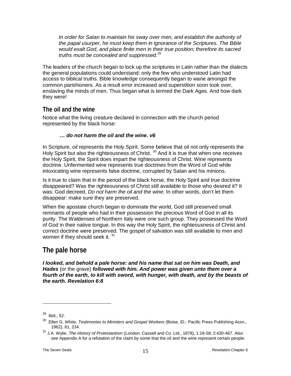In order for Satan to maintain his sway over men, and establish the authority of *the papal usurper, he must keep them in ignorance of the Scriptures. The Bible would exalt God, and place finite men in their true position; therefore its sacred truths must be concealed and suppressed.*[29](#page-14-2)

The leaders of the church began to lock up the scriptures in Latin rather than the dialects the general populations could understand: only the few who understood Latin had access to biblical truths. Bible knowledge consequently began to wane amongst the common parishioners. As a result error increased and superstition soon took over, enslaving the minds of men. Thus began what is termed the Dark Ages. And how dark they were!

## <span id="page-14-0"></span>**The oil and the wine**

Notice what the living creature declared in connection with the church period represented by the black horse:

#### *… do not harm the oil and the wine. v6*

In Scripture, *oil* represents the Holy Spirit. Some believe that oil not only represents the Holy Spirit but also the righteousness of Christ.<sup>[30](#page-14-3)</sup> And it is true that when one receives the Holy Spirit, the Spirit does impart the righteousness of Christ. Wine represents doctrine. Unfermented wine represents true doctrines from the Word of God while intoxicating wine represents false doctrine, corrupted by Satan and his minions.

Is it true to claim that in the period of the black horse, the Holy Spirit and true doctrine disappeared? Was the righteousness of Christ still available to those who desired it? It was: God decreed, *Do not harm the oil and the wine.* In other words, don't let them disappear: make sure they are preserved.

When the apostate church began to dominate the world, God still preserved small remnants of people who had in their possession the precious Word of God in all its purity. The Waldenses of Northern Italy were one such group. They possessed the Word of God in their native tongue. In this way the Holy Spirit, the righteousness of Christ and correct doctrine were preserved. The gospel of salvation was still available to men and women if they should seek it.  $31$ 

# <span id="page-14-1"></span>**The pale horse**

*I looked, and behold a pale horse: and his name that sat on him was Death, and Hades* (or the grave) *followed with him. And power was given unto them over a fourth of the earth, to kill with sword, with hunger, with death, and by the beasts of the earth. Revelation 6:8*

<span id="page-14-2"></span> $29$  Ibid., 52.

<span id="page-14-3"></span><sup>&</sup>lt;sup>30</sup> Ellen G. White, *Testimonies to Ministers and Gospel Workers* (Boise, ID.: Pacific Press Publishing Assn., 1962), 61, 234.

<span id="page-14-4"></span><sup>31</sup> J.A. Wylie, *The History of Protestantism* (London: Cassell and Co. Ltd., 1878), 1:18-58; 2:430-467. Also see Appendix A for a refutation of the claim by some that the oil and the wine represent certain people.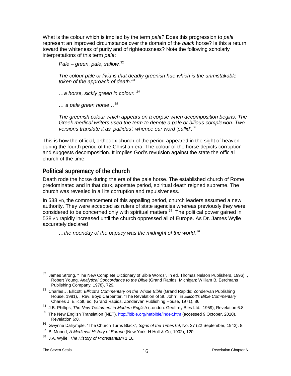What is the colour which is implied by the term *pale*? Does this progression to *pale* represent an improved circumstance over the domain of the *black* horse? Is this a return toward the whiteness of purity and of righteousness? Note the following scholarly interpretations of this term *pale*:

*Pale – green, pale, sallow.* [32](#page-15-1)

*The colour pale or livid is that deadly greenish hue which is the unmistakable token of the approach of death. [33](#page-15-2)*

*…a horse, sickly green in colour. [34](#page-15-3)*

*… a pale green horse…[35](#page-15-4)*

*The greenish colour which appears on a corpse when decomposition begins. The Greek medical writers used the term to denote a pale or bilious complexion. Two versions translate it as 'pallidus', whence our word 'pallid'.[36](#page-15-5)*

This is how the official, orthodox church of the period appeared in the sight of heaven during the fourth period of the Christian era. The colour of the horse depicts corruption and suggests decomposition. It implies God's revulsion against the state the official church of the time.

## <span id="page-15-0"></span>**Political supremacy of the church**

Death rode the horse during the era of the pale horse. The established church of Rome predominated and in that dark, apostate period, spiritual death reigned supreme. The church was revealed in all its corruption and repulsiveness.

In 538 AD, the commencement of this appalling period, church leaders assumed a new authority. They were accepted as rulers of state agencies whereas previously they were considered to be concerned only with spiritual matters  $37$ . The political power gained in 538 AD rapidly increased until the church oppressed all of Europe. As Dr. James Wylie accurately declared

*…the noonday of the papacy was the midnight of the world.[38](#page-15-7)*

<span id="page-15-1"></span> $32$  James Strong, "The New Complete Dictionary of Bible Words", in ed. Thomas Nelson Publishers, 1996), , Robert Young, *Analytical Concordance to the Bible* (Grand Rapids, Michigan: William B. Eerdmans Publishing Company, 1978), 729.

<span id="page-15-2"></span><sup>33</sup> Charles J. Ellicott, *Ellicott's Commentary on the Whole Bible* (Grand Rapids: Zondervan Publishing House, 1981), , Rev. Boyd Carpenter, "The Revelation of St. John", in *Ellicott's Bible Commentary*  Charles J. Ellicott, ed. (Grand Rapids, Zondervan Publishing House, 1971), 86.

<span id="page-15-3"></span><sup>34</sup> J.B. Phillips, *The New Testament in Modern English* (London: Geoffrey Bles Ltd., 1959), Revelation 6:8.

<span id="page-15-4"></span><sup>&</sup>lt;sup>35</sup> The New English Translation (NET)[, http://bible.org/netbible/index.htm](http://bible.org/netbible/index.htm) (accessed 9 October, 2010), Revelation 6:8.

<span id="page-15-5"></span><sup>36</sup> Gwynne Dalrymple, "The Church Turns Black", *Signs of the Times* 69, No. 37 (22 September, 1942), 8.

<span id="page-15-6"></span><sup>37</sup> B. Monod, *A Medieval History of Europe* (New York: H.Holt & Co, 1902), 120.

<span id="page-15-7"></span><sup>38</sup> J.A. Wylie, *The History of Protestantism* 1:16.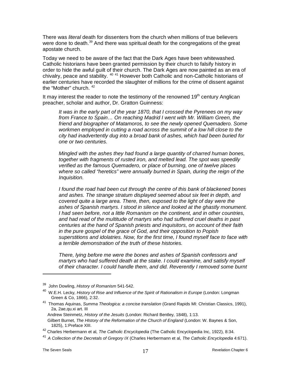There was *literal* death for dissenters from the church when millions of true believers were done to death.<sup>[39](#page-16-0)</sup> And there was spiritual death for the congregations of the great apostate church.

Today we need to be aware of the fact that the Dark Ages have been whitewashed. Catholic historians have been granted permission by their church to falsify history in order to hide the awful guilt of their church. The Dark Ages are now painted as an era of chivalry, peace and stability. [40](#page-16-1) [41](#page-16-2) However both Catholic and non-Catholic historians of earlier centuries have recorded the slaughter of millions for the crime of dissent against the "Mother" church. <sup>[42](#page-16-3)</sup>

It may interest the reader to note the testimony of the renowned  $19<sup>th</sup>$  century Anglican preacher, scholar and author, Dr. Gratton Guinness:

*It was in the early part of the year 1870, that I crossed the Pyrenees on my way from France to Spain… On reaching Madrid I went with Mr. William Green, the friend and biographer of Matamoros, to see the newly opened Quemadero. Some*  workmen employed in cutting a road across the summit of a low hill close to the *city had inadvertently dug into a broad bank of ashes, which had been buried for one or two centuries.* 

*Mingled with the ashes they had found a large quantity of charred human bones, together with fragments of rusted iron, and melted lead. The spot was speedily verified as the famous Quemadero, or place of burning, one of twelve places where so called "heretics" were annually burned in Spain, during the reign of the Inquisition.*

*I found the road had been cut through the centre of this bank of blackened bones and ashes. The strange stratum displayed seemed about six feet in depth, and covered quite a large area. There, then, exposed to the light of day were the ashes of Spanish martyrs. I stood in silence and looked at the ghastly monument. I had seen before, not a little Romanism on the continent, and in other countries, and had read of the multitude of martyrs who had suffered cruel deaths in past centuries at the hand of Spanish priests and inquisitors, on account of their faith in the pure gospel of the grace of God, and their opposition to Popish superstitions and idolatries. Now, for the first time, I found myself face to face with a terrible demonstration of the truth of these histories.*

*There, lying before me were the bones and ashes of Spanish confessors and martyrs who had suffered death at the stake. I could examine, and satisfy myself of their character. I could handle them, and did. Reverently I removed some burnt* 

<span id="page-16-0"></span><sup>39</sup> John Dowling, *History of Romanism* 541-542.

<span id="page-16-1"></span>W.E.H. Lecky, *History of Rise and Influence of the Spirit of Rationalism in Europe* (London: Longman Green & Co, 1866), 2:32.

<span id="page-16-2"></span><sup>41</sup> Thomas Aquinas, *Summa Theologica: a concise translation* (Grand Rapids MI: Christian Classics, 1991), 2a, 2ae,qu.xi art. III

Andrew Steinmetz, *History of the Jesuits* (London: Richard Bentley, 1848), 1:13.

Gilbert Burnet, *The HIstory of the Reformation of the Church of England* (London: W. Baynes & Son, 1825), 1:Preface XIII.

<span id="page-16-3"></span><sup>42</sup> Charles Herbermann et al, *The Catholic Encyclopedia* (The Catholic Encyclopedia Inc, 1922), 8:34.

<sup>41</sup>*A Collection of the Decretals of Gregory IX* (Charles Herbermann et al, *The Catholic Encyclopedia* 4:671).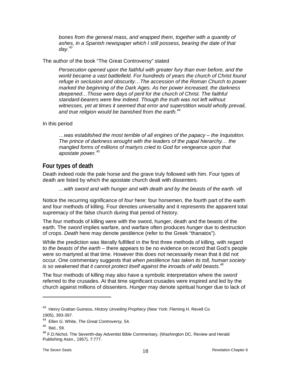bones from the general mass, and wrapped them, together with a quantity of *ashes, in a Spanish newspaper which I still possess, bearing the date of that day.[43](#page-17-1)*

#### The author of the book "The Great Controversy" stated

*Persecution opened upon the faithful with greater fury than ever before, and the world became a vast battlefield. For hundreds of years the church of Christ found refuge in seclusion and obscurity…The accession of the Roman Church to power marked the beginning of the Dark Ages. As her power increased, the darkness deepened…Those were days of peril for the church of Christ. The faithful standard-bearers were few indeed. Though the truth was not left without*  witnesses, yet at times it seemed that error and superstition would wholly prevail, *and true religion would be banished from the earth.[44](#page-17-2)*

In this period

*…was established the most terrible of all engines of the papacy – the Inquisition. The prince of darkness wrought with the leaders of the papal hierarchy… the mangled forms of millions of martyrs cried to God for vengeance upon that apostate power.[45](#page-17-3)*

## <span id="page-17-0"></span>**Four types of death**

Death indeed rode the pale horse and the grave truly followed with him. Four types of death are listed by which the apostate church dealt with dissenters.

*…with sword and with hunger and with death and by the beasts of the earth. v8*

Notice the recurring significance of *four* here: four horsemen, the fourth part of the earth and four methods of killing. Four denotes universality and it represents the apparent total supremacy of the false church during that period of history.

The four methods of killing were with the sword, hunger, death and the beasts of the earth. The *sword* implies warfare, and warfare often produces *hunger* due to destruction of crops. *Death* here may denote pestilence (refer to the Greek "thanatos").

While the prediction was literally fulfilled in the first three methods of killing, with regard to *the beasts of the earth* – there appears to be no evidence on record that God's people were so martyred at that time. However this does not necessarily mean that it did not occur. One commentary suggests that *when pestilence has taken its toll, human society is so weakened that it cannot protect itself against the inroads of wild beasts[.46](#page-17-4)*

The four methods of killing may also have a symbolic interpretation where the *sword* referred to the crusades. At that time significant crusades were inspired and led by the church against millions of dissenters. *Hunger* may denote spiritual hunger due to lack of

<span id="page-17-1"></span><sup>43</sup> Henry Grattan Guiness, *History Unveiling Prophecy* (New York: Fleming H. Revell Co 1905), 393-397.

<span id="page-17-2"></span><sup>44</sup> Ellen G. White, *The Great Controversy,* 54.

<span id="page-17-3"></span><sup>45</sup> Ibid., 59.

<span id="page-17-4"></span><sup>&</sup>lt;sup>46</sup> F.D.Nichol, The Seventh-day Adventist Bible Commentary, (Washington DC, Review and Herald Publishing Assn., 1957), 7:777.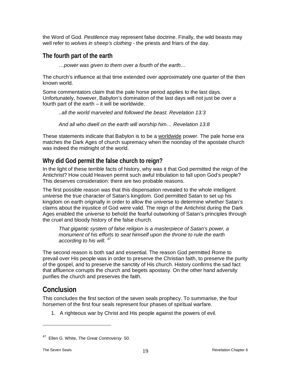the Word of God. *Pestilence* may represent false doctrine. Finally, the wild beasts may well refer to *wolves in sheep's clothing* - the priests and friars of the day.

## <span id="page-18-0"></span>**The fourth part of the earth**

*…power was given to them over a fourth of the earth…*

The church's influence at that time extended over approximately one quarter of the then known world.

Some commentators claim that the pale horse period applies to the last days. Unfortunately, however, Babylon's domination of the last days will not just be over a fourth part of the earth – it will be worldwide.

*..all the world marveled and followed the beast. Revelation 13:3*

*And all who dwell on the earth will worship him… Revelation 13:8*

These statements indicate that Babylon is to be a worldwide power. The pale horse era matches the Dark Ages of church supremacy when the noonday of the apostate church was indeed the midnight of the world.

# <span id="page-18-1"></span>**Why did God permit the false church to reign?**

In the light of these terrible facts of history, why was it that God permitted the reign of the Antichrist? How could Heaven permit such awful tribulation to fall upon God's people? This deserves consideration: there are two probable reasons.

The first possible reason was that this dispensation revealed to the whole intelligent universe the true character of Satan's kingdom. God permitted Satan to set up his kingdom on earth originally in order to allow the universe to determine whether Satan's claims about the injustice of God were valid. The reign of the Antichrist during the Dark Ages enabled the universe to behold the fearful outworking of Satan's principles through the cruel and bloody history of the false church.

*That gigantic system of false religion is a masterpiece of Satan's power, a monument of his efforts to seat himself upon the throne to rule the earth according to his will. [47](#page-18-3)*

The second reason is both sad and essential. The reason God permitted Rome to prevail over His people was in order to preserve the Christian faith, to preserve the purity of the gospel, and to preserve the sanctity of His church. History confirms the sad fact that affluence corrupts the church and begets apostasy. On the other hand adversity purifies the church and preserves the faith.

# <span id="page-18-2"></span>**Conclusion**

This concludes the first section of the seven seals prophecy. To summarise, the four horsemen of the first four seals represent four phases of spiritual warfare.

1. A righteous war by Christ and His people against the powers of evil.

<span id="page-18-3"></span><sup>47</sup> Ellen G. White, *The Great Controversy* 50.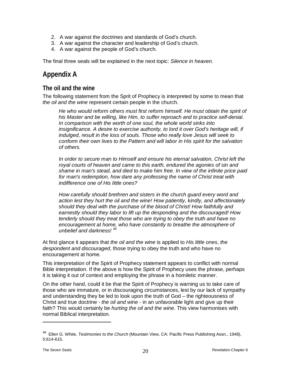- 2. A war against the doctrines and standards of God's church.
- 3. A war against the character and leadership of God's church.
- 4. A war against the people of God's church.

<span id="page-19-0"></span>The final three seals will be explained in the next topic: *Silence in heaven.*

# **Appendix A**

#### <span id="page-19-1"></span>**The oil and the wine**

The following statement from the Sprit of Prophecy is interpreted by some to mean that *the oil and the wine* represent certain people in the church.

*He who would reform others must first reform himself. He must obtain the spirit of his Master and be willing, like Him, to suffer reproach and to practice self-denial. In comparison with the worth of one soul, the whole world sinks into insignificance. A desire to exercise authority, to lord it over God's heritage will, if indulged, result in the loss of souls. Those who really love Jesus will seek to conform their own lives to the Pattern and will labor in His spirit for the salvation of others.* 

*In order to secure man to Himself and ensure his eternal salvation, Christ left the royal courts of heaven and came to this earth, endured the agonies of sin and shame in man's stead, and died to make him free. In view of the infinite price paid for man's redemption, how dare any professing the name of Christ treat with indifference one of His little ones?* 

*How carefully should brethren and sisters in the church guard every word and action lest they hurt the oil and the wine! How patiently, kindly, and affectionately should they deal with the purchase of the blood of Christ! How faithfully and earnestly should they labor to lift up the desponding and the discouraged! How tenderly should they treat those who are trying to obey the truth and have no encouragement at home, who have constantly to breathe the atmosphere of unbelief and darkness! [48](#page-19-2)*

At first glance it appears that *the oil and the wine* is applied to *His little ones*, *the despondent and discouraged*, those trying to obey the truth and who have no encouragement at home.

This interpretation of the Spirit of Prophecy statement appears to conflict with normal Bible interpretation. If the above is how the Spirit of Prophecy uses the phrase, perhaps it is taking it out of context and employing the phrase in a homiletic manner.

On the other hand, could it be that the Spirit of Prophecy is warning us to take care of those who are immature, or in discouraging circumstances, lest by our lack of sympathy and understanding they be led to look upon the truth of God – the righteousness of Christ and true doctrine - *the oil and wine* - in an unfavorable light and give up their faith? This would certainly be *hurting the oil and the wine*. This view harmonises with normal Biblical interpretation.

<span id="page-19-2"></span><sup>48</sup> Ellen G. White, *Testimonies to the Church* (Mountain View, CA: Pacific Press Publishing Assn., 1948), 5:614-615.